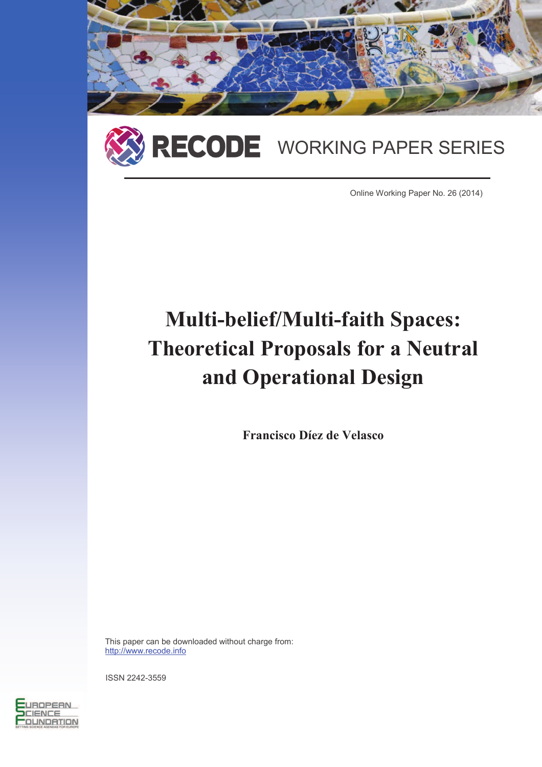



Online Working Paper No. 26 (2014)

# **Multi-belief/Multi-faith Spaces: Theoretical Proposals for a Neutral and Operational Design**

**Francisco Díez de Velasco** 

This paper can be downloaded without charge from: http://www.recode.info

ISSN 2242-3559

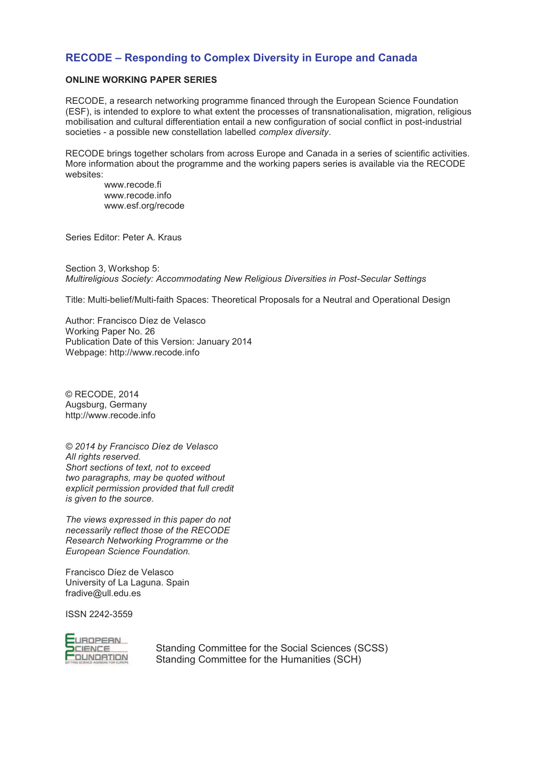# **RECODE – Responding to Complex Diversity in Europe and Canada**

# **ONLINE WORKING PAPER SERIES**

RECODE, a research networking programme financed through the European Science Foundation (ESF), is intended to explore to what extent the processes of transnationalisation, migration, religious mobilisation and cultural differentiation entail a new configuration of social conflict in post-industrial societies - a possible new constellation labelled *complex diversity*.

RECODE brings together scholars from across Europe and Canada in a series of scientific activities. More information about the programme and the working papers series is available via the RECODE websites:

www.recode.fi www.recode.info www.esf.org/recode

Series Editor: Peter A. Kraus

Section 3, Workshop 5: *Multireligious Society: Accommodating New Religious Diversities in Post-Secular Settings* 

Title: Multi-belief/Multi-faith Spaces: Theoretical Proposals for a Neutral and Operational Design

Author: Francisco Díez de Velasco Working Paper No. 26 Publication Date of this Version: January 2014 Webpage: http://www.recode.info

© RECODE, 2014 Augsburg, Germany http://www.recode.info

*© 2014 by Francisco Díez de Velasco All rights reserved. Short sections of text, not to exceed two paragraphs, may be quoted without explicit permission provided that full credit is given to the source.* 

*The views expressed in this paper do not necessarily reflect those of the RECODE Research Networking Programme or the European Science Foundation.* 

Francisco Díez de Velasco University of La Laguna. Spain fradive@ull.edu.es

ISSN 2242-3559



Standing Committee for the Social Sciences (SCSS) Standing Committee for the Humanities (SCH)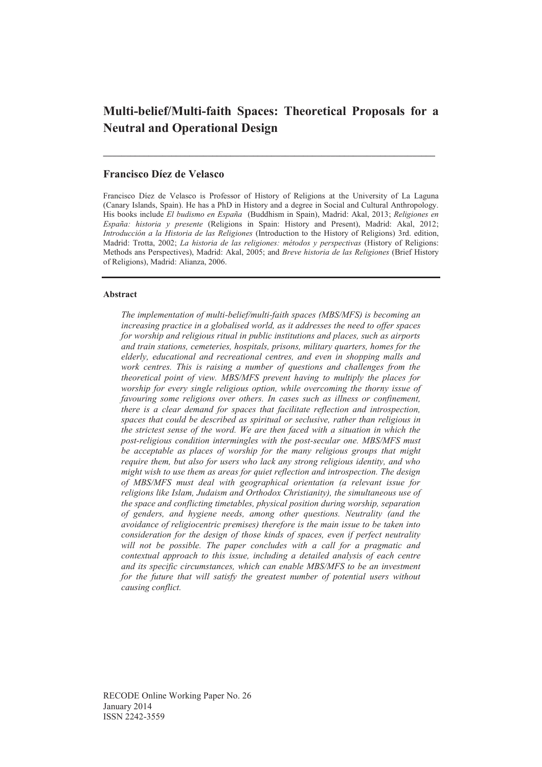# **Multi-belief/Multi-faith Spaces: Theoretical Proposals for a Neutral and Operational Design**

**\_\_\_\_\_\_\_\_\_\_\_\_\_\_\_\_\_\_\_\_\_\_\_\_\_\_\_\_\_\_\_\_\_\_\_\_\_\_\_\_\_\_\_\_\_\_\_\_\_\_\_\_\_\_\_\_\_\_\_\_\_\_\_\_\_\_\_\_\_\_\_\_\_** 

# **Francisco Díez de Velasco**

Francisco Díez de Velasco is Professor of History of Religions at the University of La Laguna (Canary Islands, Spain). He has a PhD in History and a degree in Social and Cultural Anthropology. His books include *El budismo en España* (Buddhism in Spain), Madrid: Akal, 2013; *Religiones en España: historia y presente* (Religions in Spain: History and Present), Madrid: Akal, 2012; *Introducción a la Historia de las Religiones* (Introduction to the History of Religions) 3rd. edition, Madrid: Trotta, 2002; *La historia de las religiones: métodos y perspectivas* (History of Religions: Methods ans Perspectives), Madrid: Akal, 2005; and *Breve historia de las Religiones* (Brief History of Religions), Madrid: Alianza, 2006.

# **Abstract**

*The implementation of multi-belief/multi-faith spaces (MBS/MFS) is becoming an increasing practice in a globalised world, as it addresses the need to offer spaces for worship and religious ritual in public institutions and places, such as airports and train stations, cemeteries, hospitals, prisons, military quarters, homes for the elderly, educational and recreational centres, and even in shopping malls and work centres. This is raising a number of questions and challenges from the theoretical point of view. MBS/MFS prevent having to multiply the places for worship for every single religious option, while overcoming the thorny issue of favouring some religions over others. In cases such as illness or confinement, there is a clear demand for spaces that facilitate reflection and introspection, spaces that could be described as spiritual or seclusive, rather than religious in the strictest sense of the word. We are then faced with a situation in which the post-religious condition intermingles with the post-secular one. MBS/MFS must be acceptable as places of worship for the many religious groups that might require them, but also for users who lack any strong religious identity, and who might wish to use them as areas for quiet reflection and introspection. The design of MBS/MFS must deal with geographical orientation (a relevant issue for religions like Islam, Judaism and Orthodox Christianity), the simultaneous use of the space and conflicting timetables, physical position during worship, separation of genders, and hygiene needs, among other questions. Neutrality (and the avoidance of religiocentric premises) therefore is the main issue to be taken into consideration for the design of those kinds of spaces, even if perfect neutrality*  will not be possible. The paper concludes with a call for a pragmatic and *contextual approach to this issue, including a detailed analysis of each centre and its specific circumstances, which can enable MBS/MFS to be an investment*  for the future that will satisfy the greatest number of potential users without *causing conflict.*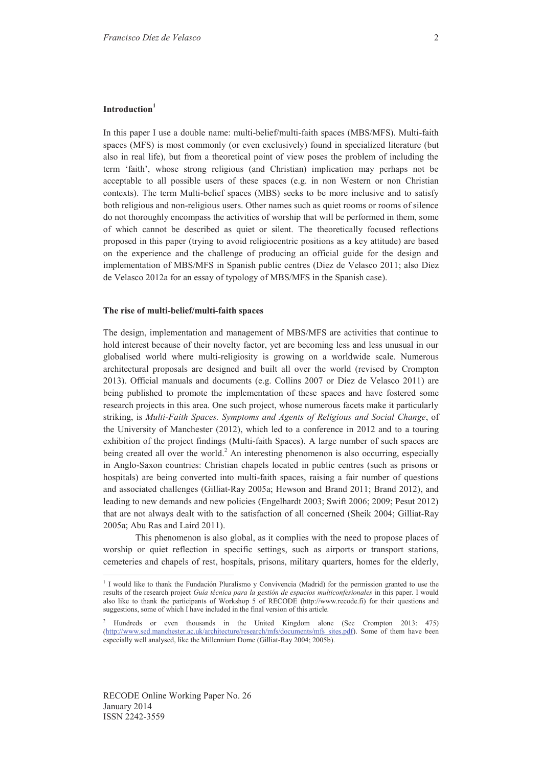In this paper I use a double name: multi-belief/multi-faith spaces (MBS/MFS). Multi-faith spaces (MFS) is most commonly (or even exclusively) found in specialized literature (but also in real life), but from a theoretical point of view poses the problem of including the term 'faith', whose strong religious (and Christian) implication may perhaps not be acceptable to all possible users of these spaces (e.g. in non Western or non Christian contexts). The term Multi-belief spaces (MBS) seeks to be more inclusive and to satisfy both religious and non-religious users. Other names such as quiet rooms or rooms of silence do not thoroughly encompass the activities of worship that will be performed in them, some of which cannot be described as quiet or silent. The theoretically focused reflections proposed in this paper (trying to avoid religiocentric positions as a key attitude) are based on the experience and the challenge of producing an official guide for the design and implementation of MBS/MFS in Spanish public centres (Díez de Velasco 2011; also Díez de Velasco 2012a for an essay of typology of MBS/MFS in the Spanish case).

#### **The rise of multi-belief/multi-faith spaces**

The design, implementation and management of MBS/MFS are activities that continue to hold interest because of their novelty factor, yet are becoming less and less unusual in our globalised world where multi-religiosity is growing on a worldwide scale. Numerous architectural proposals are designed and built all over the world (revised by Crompton 2013). Official manuals and documents (e.g. Collins 2007 or Díez de Velasco 2011) are being published to promote the implementation of these spaces and have fostered some research projects in this area. One such project, whose numerous facets make it particularly striking, is *Multi-Faith Spaces. Symptoms and Agents of Religious and Social Change*, of the University of Manchester (2012), which led to a conference in 2012 and to a touring exhibition of the project findings (Multi-faith Spaces). A large number of such spaces are being created all over the world.<sup>2</sup> An interesting phenomenon is also occurring, especially in Anglo-Saxon countries: Christian chapels located in public centres (such as prisons or hospitals) are being converted into multi-faith spaces, raising a fair number of questions and associated challenges (Gilliat-Ray 2005a; Hewson and Brand 2011; Brand 2012), and leading to new demands and new policies (Engelhardt 2003; Swift 2006; 2009; Pesut 2012) that are not always dealt with to the satisfaction of all concerned (Sheik 2004; Gilliat-Ray 2005a; Abu Ras and Laird 2011).

This phenomenon is also global, as it complies with the need to propose places of worship or quiet reflection in specific settings, such as airports or transport stations, cemeteries and chapels of rest, hospitals, prisons, military quarters, homes for the elderly,

<sup>&</sup>lt;sup>1</sup> I would like to thank the Fundación Pluralismo y Convivencia (Madrid) for the permission granted to use the results of the research project *Guía técnica para la gestión de espacios multiconfesionales* in this paper. I would also like to thank the participants of Workshop 5 of RECODE (http://www.recode.fi) for their questions and suggestions, some of which I have included in the final version of this article.

<sup>2</sup> Hundreds or even thousands in the United Kingdom alone (See Crompton 2013: 475) (http://www.sed.manchester.ac.uk/architecture/research/mfs/documents/mfs\_sites.pdf). Some of them have been especially well analysed, like the Millennium Dome (Gilliat-Ray 2004; 2005b).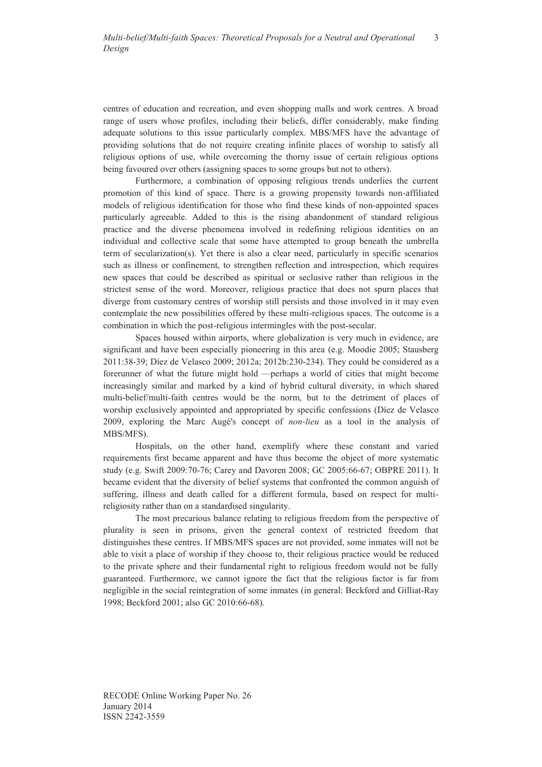centres of education and recreation, and even shopping malls and work centres. A broad range of users whose profiles, including their beliefs, differ considerably, make finding adequate solutions to this issue particularly complex. MBS/MFS have the advantage of providing solutions that do not require creating infinite places of worship to satisfy all religious options of use, while overcoming the thorny issue of certain religious options being favoured over others (assigning spaces to some groups but not to others).

Furthermore, a combination of opposing religious trends underlies the current promotion of this kind of space. There is a growing propensity towards non-affiliated models of religious identification for those who find these kinds of non-appointed spaces particularly agreeable. Added to this is the rising abandonment of standard religious practice and the diverse phenomena involved in redefining religious identities on an individual and collective scale that some have attempted to group beneath the umbrella term of secularization(s). Yet there is also a clear need, particularly in specific scenarios such as illness or confinement, to strengthen reflection and introspection, which requires new spaces that could be described as spiritual or seclusive rather than religious in the strictest sense of the word. Moreover, religious practice that does not spurn places that diverge from customary centres of worship still persists and those involved in it may even contemplate the new possibilities offered by these multi-religious spaces. The outcome is a combination in which the post-religious intermingles with the post-secular.

Spaces housed within airports, where globalization is very much in evidence, are significant and have been especially pioneering in this area (e.g. Moodie 2005; Stausberg 2011:38-39; Díez de Velasco 2009; 2012a; 2012b:230-234). They could be considered as a forerunner of what the future might hold —perhaps a world of cities that might become increasingly similar and marked by a kind of hybrid cultural diversity, in which shared multi-belief/multi-faith centres would be the norm, but to the detriment of places of worship exclusively appointed and appropriated by specific confessions (Díez de Velasco 2009, exploring the Marc Augé's concept of *non-lieu* as a tool in the analysis of MBS/MFS).

Hospitals, on the other hand, exemplify where these constant and varied requirements first became apparent and have thus become the object of more systematic study (e.g. Swift 2009:70-76; Carey and Davoren 2008; GC 2005:66-67; OBPRE 2011). It became evident that the diversity of belief systems that confronted the common anguish of suffering, illness and death called for a different formula, based on respect for multireligiosity rather than on a standardised singularity.

The most precarious balance relating to religious freedom from the perspective of plurality is seen in prisons, given the general context of restricted freedom that distinguishes these centres. If MBS/MFS spaces are not provided, some inmates will not be able to visit a place of worship if they choose to, their religious practice would be reduced to the private sphere and their fundamental right to religious freedom would not be fully guaranteed. Furthermore, we cannot ignore the fact that the religious factor is far from negligible in the social reintegration of some inmates (in general: Beckford and Gilliat-Ray 1998; Beckford 2001; also GC 2010:66-68).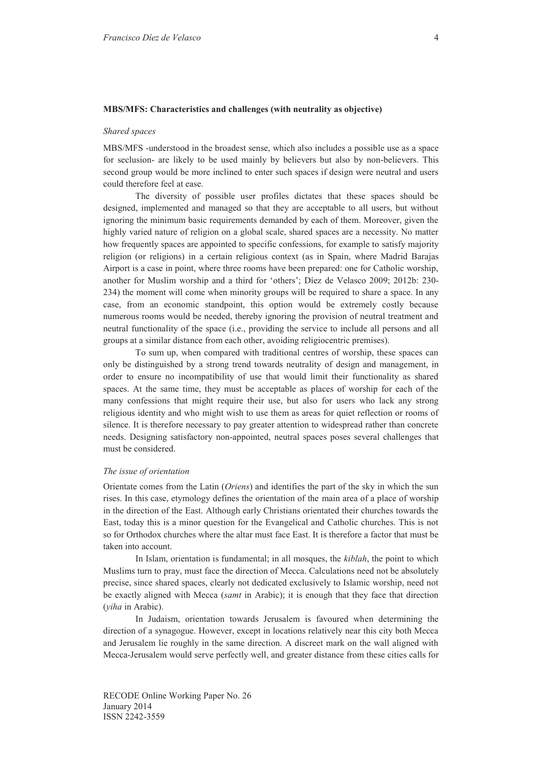#### **MBS/MFS: Characteristics and challenges (with neutrality as objective)**

#### *Shared spaces*

MBS/MFS -understood in the broadest sense, which also includes a possible use as a space for seclusion- are likely to be used mainly by believers but also by non-believers. This second group would be more inclined to enter such spaces if design were neutral and users could therefore feel at ease.

The diversity of possible user profiles dictates that these spaces should be designed, implemented and managed so that they are acceptable to all users, but without ignoring the minimum basic requirements demanded by each of them. Moreover, given the highly varied nature of religion on a global scale, shared spaces are a necessity. No matter how frequently spaces are appointed to specific confessions, for example to satisfy majority religion (or religions) in a certain religious context (as in Spain, where Madrid Barajas Airport is a case in point, where three rooms have been prepared: one for Catholic worship, another for Muslim worship and a third for 'others'; Díez de Velasco 2009; 2012b: 230- 234) the moment will come when minority groups will be required to share a space. In any case, from an economic standpoint, this option would be extremely costly because numerous rooms would be needed, thereby ignoring the provision of neutral treatment and neutral functionality of the space (i.e., providing the service to include all persons and all groups at a similar distance from each other, avoiding religiocentric premises).

To sum up, when compared with traditional centres of worship, these spaces can only be distinguished by a strong trend towards neutrality of design and management, in order to ensure no incompatibility of use that would limit their functionality as shared spaces. At the same time, they must be acceptable as places of worship for each of the many confessions that might require their use, but also for users who lack any strong religious identity and who might wish to use them as areas for quiet reflection or rooms of silence. It is therefore necessary to pay greater attention to widespread rather than concrete needs. Designing satisfactory non-appointed, neutral spaces poses several challenges that must be considered.

#### *The issue of orientation*

Orientate comes from the Latin (*Oriens*) and identifies the part of the sky in which the sun rises. In this case, etymology defines the orientation of the main area of a place of worship in the direction of the East. Although early Christians orientated their churches towards the East, today this is a minor question for the Evangelical and Catholic churches. This is not so for Orthodox churches where the altar must face East. It is therefore a factor that must be taken into account.

In Islam, orientation is fundamental; in all mosques, the *kiblah*, the point to which Muslims turn to pray, must face the direction of Mecca. Calculations need not be absolutely precise, since shared spaces, clearly not dedicated exclusively to Islamic worship, need not be exactly aligned with Mecca (*samt* in Arabic); it is enough that they face that direction (*yiha* in Arabic).

In Judaism, orientation towards Jerusalem is favoured when determining the direction of a synagogue. However, except in locations relatively near this city both Mecca and Jerusalem lie roughly in the same direction. A discreet mark on the wall aligned with Mecca-Jerusalem would serve perfectly well, and greater distance from these cities calls for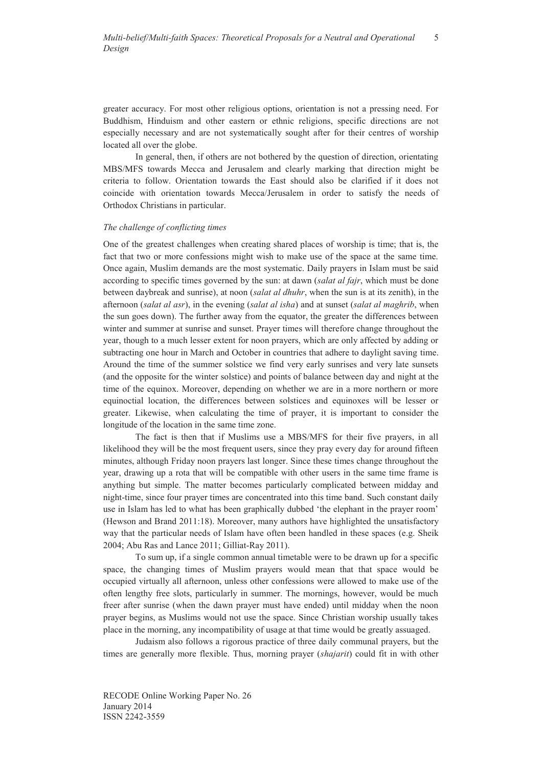greater accuracy. For most other religious options, orientation is not a pressing need. For Buddhism, Hinduism and other eastern or ethnic religions, specific directions are not especially necessary and are not systematically sought after for their centres of worship located all over the globe.

In general, then, if others are not bothered by the question of direction, orientating MBS/MFS towards Mecca and Jerusalem and clearly marking that direction might be criteria to follow. Orientation towards the East should also be clarified if it does not coincide with orientation towards Mecca/Jerusalem in order to satisfy the needs of Orthodox Christians in particular.

#### *The challenge of conflicting times*

One of the greatest challenges when creating shared places of worship is time; that is, the fact that two or more confessions might wish to make use of the space at the same time. Once again, Muslim demands are the most systematic. Daily prayers in Islam must be said according to specific times governed by the sun: at dawn (*salat al fajr*, which must be done between daybreak and sunrise), at noon (*salat al dhuhr*, when the sun is at its zenith), in the afternoon (*salat al asr*), in the evening (*salat al isha*) and at sunset (*salat al maghrib*, when the sun goes down). The further away from the equator, the greater the differences between winter and summer at sunrise and sunset. Prayer times will therefore change throughout the year, though to a much lesser extent for noon prayers, which are only affected by adding or subtracting one hour in March and October in countries that adhere to daylight saving time. Around the time of the summer solstice we find very early sunrises and very late sunsets (and the opposite for the winter solstice) and points of balance between day and night at the time of the equinox. Moreover, depending on whether we are in a more northern or more equinoctial location, the differences between solstices and equinoxes will be lesser or greater. Likewise, when calculating the time of prayer, it is important to consider the longitude of the location in the same time zone.

The fact is then that if Muslims use a MBS/MFS for their five prayers, in all likelihood they will be the most frequent users, since they pray every day for around fifteen minutes, although Friday noon prayers last longer. Since these times change throughout the year, drawing up a rota that will be compatible with other users in the same time frame is anything but simple. The matter becomes particularly complicated between midday and night-time, since four prayer times are concentrated into this time band. Such constant daily use in Islam has led to what has been graphically dubbed 'the elephant in the prayer room' (Hewson and Brand 2011:18). Moreover, many authors have highlighted the unsatisfactory way that the particular needs of Islam have often been handled in these spaces (e.g. Sheik 2004; Abu Ras and Lance 2011; Gilliat-Ray 2011).

To sum up, if a single common annual timetable were to be drawn up for a specific space, the changing times of Muslim prayers would mean that that space would be occupied virtually all afternoon, unless other confessions were allowed to make use of the often lengthy free slots, particularly in summer. The mornings, however, would be much freer after sunrise (when the dawn prayer must have ended) until midday when the noon prayer begins, as Muslims would not use the space. Since Christian worship usually takes place in the morning, any incompatibility of usage at that time would be greatly assuaged.

Judaism also follows a rigorous practice of three daily communal prayers, but the times are generally more flexible. Thus, morning prayer (*shajarit*) could fit in with other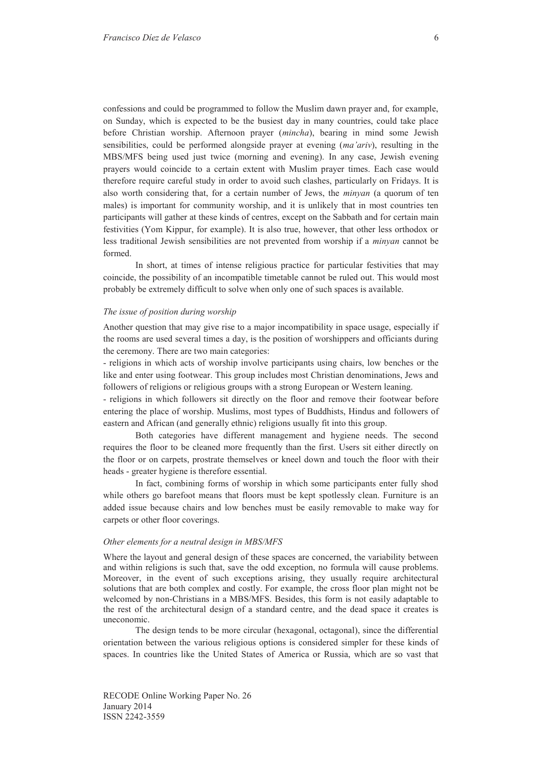confessions and could be programmed to follow the Muslim dawn prayer and, for example, on Sunday, which is expected to be the busiest day in many countries, could take place before Christian worship. Afternoon prayer (*mincha*), bearing in mind some Jewish sensibilities, could be performed alongside prayer at evening (*ma'ariv*), resulting in the MBS/MFS being used just twice (morning and evening). In any case, Jewish evening prayers would coincide to a certain extent with Muslim prayer times. Each case would therefore require careful study in order to avoid such clashes, particularly on Fridays. It is also worth considering that, for a certain number of Jews, the *minyan* (a quorum of ten males) is important for community worship, and it is unlikely that in most countries ten participants will gather at these kinds of centres, except on the Sabbath and for certain main festivities (Yom Kippur, for example). It is also true, however, that other less orthodox or less traditional Jewish sensibilities are not prevented from worship if a *minyan* cannot be formed.

In short, at times of intense religious practice for particular festivities that may coincide, the possibility of an incompatible timetable cannot be ruled out. This would most probably be extremely difficult to solve when only one of such spaces is available.

#### *The issue of position during worship*

Another question that may give rise to a major incompatibility in space usage, especially if the rooms are used several times a day, is the position of worshippers and officiants during the ceremony. There are two main categories:

- religions in which acts of worship involve participants using chairs, low benches or the like and enter using footwear. This group includes most Christian denominations, Jews and followers of religions or religious groups with a strong European or Western leaning.

- religions in which followers sit directly on the floor and remove their footwear before entering the place of worship. Muslims, most types of Buddhists, Hindus and followers of eastern and African (and generally ethnic) religions usually fit into this group.

Both categories have different management and hygiene needs. The second requires the floor to be cleaned more frequently than the first. Users sit either directly on the floor or on carpets, prostrate themselves or kneel down and touch the floor with their heads - greater hygiene is therefore essential.

In fact, combining forms of worship in which some participants enter fully shod while others go barefoot means that floors must be kept spotlessly clean. Furniture is an added issue because chairs and low benches must be easily removable to make way for carpets or other floor coverings.

## *Other elements for a neutral design in MBS/MFS*

Where the layout and general design of these spaces are concerned, the variability between and within religions is such that, save the odd exception, no formula will cause problems. Moreover, in the event of such exceptions arising, they usually require architectural solutions that are both complex and costly. For example, the cross floor plan might not be welcomed by non-Christians in a MBS/MFS. Besides, this form is not easily adaptable to the rest of the architectural design of a standard centre, and the dead space it creates is uneconomic.

The design tends to be more circular (hexagonal, octagonal), since the differential orientation between the various religious options is considered simpler for these kinds of spaces. In countries like the United States of America or Russia, which are so vast that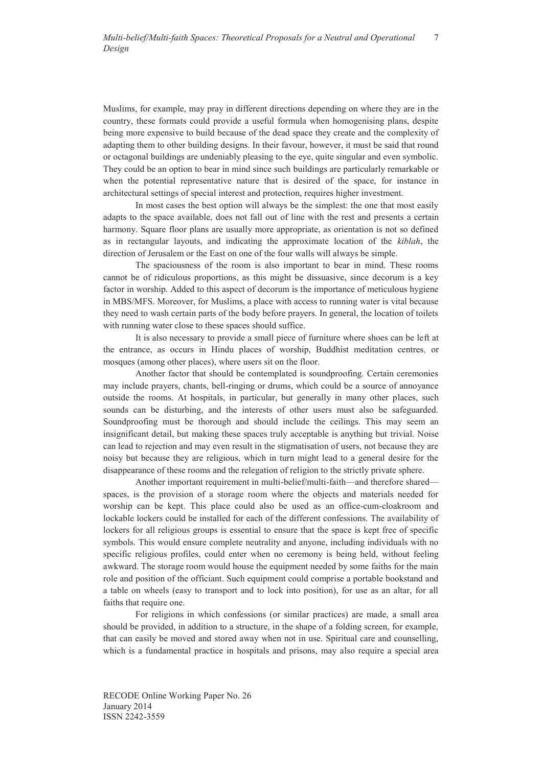Muslims, for example, may pray in different directions depending on where they are in the country, these formats could provide a useful formula when homogenising plans, despite being more expensive to build because of the dead space they create and the complexity of adapting them to other building designs. In their favour, however, it must be said that round or octagonal buildings are undeniably pleasing to the eye, quite singular and even symbolic. They could be an option to bear in mind since such buildings are particularly remarkable or when the potential representative nature that is desired of the space, for instance in architectural settings of special interest and protection, requires higher investment.

In most cases the best option will always be the simplest: the one that most easily adapts to the space available, does not fall out of line with the rest and presents a certain harmony. Square floor plans are usually more appropriate, as orientation is not so defined as in rectangular layouts, and indicating the approximate location of the *kiblah*, the direction of Jerusalem or the East on one of the four walls will always be simple.

The spaciousness of the room is also important to bear in mind. These rooms cannot be of ridiculous proportions, as this might be dissuasive, since decorum is a key factor in worship. Added to this aspect of decorum is the importance of meticulous hygiene in MBS/MFS. Moreover, for Muslims, a place with access to running water is vital because they need to wash certain parts of the body before prayers. In general, the location of toilets with running water close to these spaces should suffice.

It is also necessary to provide a small piece of furniture where shoes can be left at the entrance, as occurs in Hindu places of worship, Buddhist meditation centres, or mosques (among other places), where users sit on the floor.

Another factor that should be contemplated is soundproofing. Certain ceremonies may include prayers, chants, bell-ringing or drums, which could be a source of annoyance outside the rooms. At hospitals, in particular, but generally in many other places, such sounds can be disturbing, and the interests of other users must also be safeguarded. Soundproofing must be thorough and should include the ceilings. This may seem an insignificant detail, but making these spaces truly acceptable is anything but trivial. Noise can lead to rejection and may even result in the stigmatisation of users, not because they are noisy but because they are religious, which in turn might lead to a general desire for the disappearance of these rooms and the relegation of religion to the strictly private sphere.

Another important requirement in multi-belief/multi-faith—and therefore shared spaces, is the provision of a storage room where the objects and materials needed for worship can be kept. This place could also be used as an office-cum-cloakroom and lockable lockers could be installed for each of the different confessions. The availability of lockers for all religious groups is essential to ensure that the space is kept free of specific symbols. This would ensure complete neutrality and anyone, including individuals with no specific religious profiles, could enter when no ceremony is being held, without feeling awkward. The storage room would house the equipment needed by some faiths for the main role and position of the officiant. Such equipment could comprise a portable bookstand and a table on wheels (easy to transport and to lock into position), for use as an altar, for all faiths that require one.

For religions in which confessions (or similar practices) are made, a small area should be provided, in addition to a structure, in the shape of a folding screen, for example, that can easily be moved and stored away when not in use. Spiritual care and counselling, which is a fundamental practice in hospitals and prisons, may also require a special area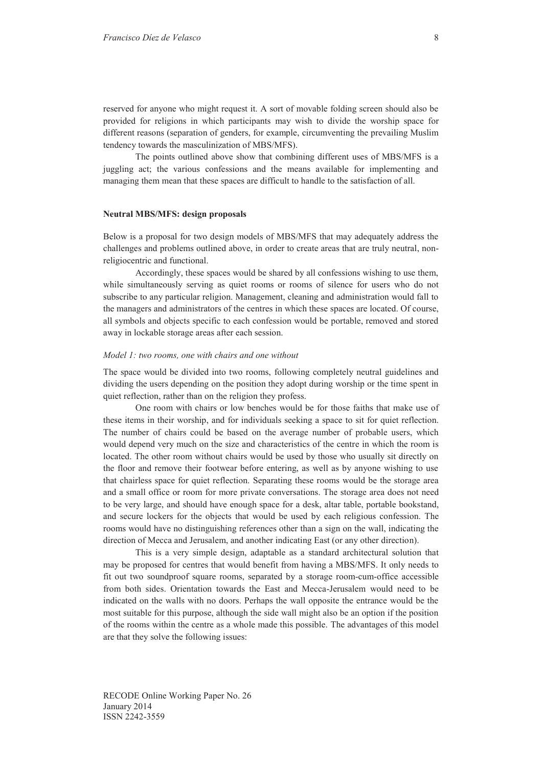reserved for anyone who might request it. A sort of movable folding screen should also be provided for religions in which participants may wish to divide the worship space for different reasons (separation of genders, for example, circumventing the prevailing Muslim tendency towards the masculinization of MBS/MFS).

The points outlined above show that combining different uses of MBS/MFS is a juggling act; the various confessions and the means available for implementing and managing them mean that these spaces are difficult to handle to the satisfaction of all.

#### **Neutral MBS/MFS: design proposals**

Below is a proposal for two design models of MBS/MFS that may adequately address the challenges and problems outlined above, in order to create areas that are truly neutral, nonreligiocentric and functional.

Accordingly, these spaces would be shared by all confessions wishing to use them, while simultaneously serving as quiet rooms or rooms of silence for users who do not subscribe to any particular religion. Management, cleaning and administration would fall to the managers and administrators of the centres in which these spaces are located. Of course, all symbols and objects specific to each confession would be portable, removed and stored away in lockable storage areas after each session.

## *Model 1: two rooms, one with chairs and one without*

The space would be divided into two rooms, following completely neutral guidelines and dividing the users depending on the position they adopt during worship or the time spent in quiet reflection, rather than on the religion they profess.

One room with chairs or low benches would be for those faiths that make use of these items in their worship, and for individuals seeking a space to sit for quiet reflection. The number of chairs could be based on the average number of probable users, which would depend very much on the size and characteristics of the centre in which the room is located. The other room without chairs would be used by those who usually sit directly on the floor and remove their footwear before entering, as well as by anyone wishing to use that chairless space for quiet reflection. Separating these rooms would be the storage area and a small office or room for more private conversations. The storage area does not need to be very large, and should have enough space for a desk, altar table, portable bookstand, and secure lockers for the objects that would be used by each religious confession. The rooms would have no distinguishing references other than a sign on the wall, indicating the direction of Mecca and Jerusalem, and another indicating East (or any other direction).

This is a very simple design, adaptable as a standard architectural solution that may be proposed for centres that would benefit from having a MBS/MFS. It only needs to fit out two soundproof square rooms, separated by a storage room-cum-office accessible from both sides. Orientation towards the East and Mecca-Jerusalem would need to be indicated on the walls with no doors. Perhaps the wall opposite the entrance would be the most suitable for this purpose, although the side wall might also be an option if the position of the rooms within the centre as a whole made this possible. The advantages of this model are that they solve the following issues: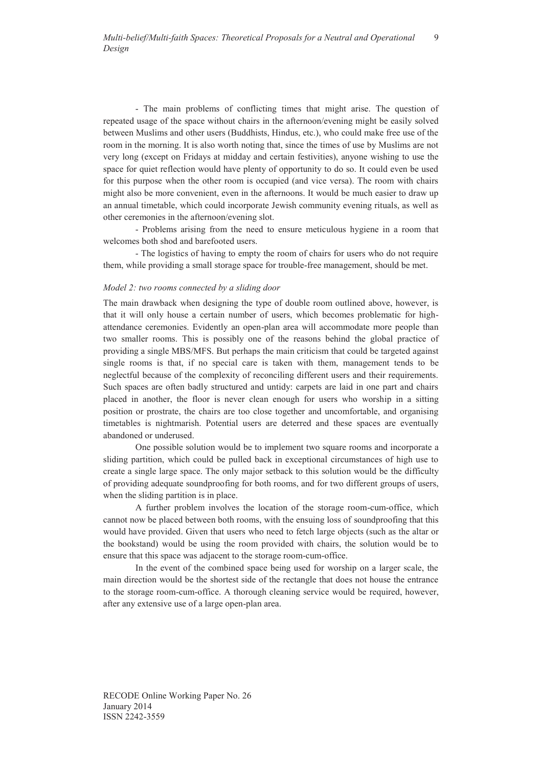- The main problems of conflicting times that might arise. The question of repeated usage of the space without chairs in the afternoon/evening might be easily solved between Muslims and other users (Buddhists, Hindus, etc.), who could make free use of the room in the morning. It is also worth noting that, since the times of use by Muslims are not very long (except on Fridays at midday and certain festivities), anyone wishing to use the space for quiet reflection would have plenty of opportunity to do so. It could even be used for this purpose when the other room is occupied (and vice versa). The room with chairs might also be more convenient, even in the afternoons. It would be much easier to draw up an annual timetable, which could incorporate Jewish community evening rituals, as well as other ceremonies in the afternoon/evening slot.

- Problems arising from the need to ensure meticulous hygiene in a room that welcomes both shod and barefooted users.

- The logistics of having to empty the room of chairs for users who do not require them, while providing a small storage space for trouble-free management, should be met.

#### *Model 2: two rooms connected by a sliding door*

The main drawback when designing the type of double room outlined above, however, is that it will only house a certain number of users, which becomes problematic for highattendance ceremonies. Evidently an open-plan area will accommodate more people than two smaller rooms. This is possibly one of the reasons behind the global practice of providing a single MBS/MFS. But perhaps the main criticism that could be targeted against single rooms is that, if no special care is taken with them, management tends to be neglectful because of the complexity of reconciling different users and their requirements. Such spaces are often badly structured and untidy: carpets are laid in one part and chairs placed in another, the floor is never clean enough for users who worship in a sitting position or prostrate, the chairs are too close together and uncomfortable, and organising timetables is nightmarish. Potential users are deterred and these spaces are eventually abandoned or underused.

One possible solution would be to implement two square rooms and incorporate a sliding partition, which could be pulled back in exceptional circumstances of high use to create a single large space. The only major setback to this solution would be the difficulty of providing adequate soundproofing for both rooms, and for two different groups of users, when the sliding partition is in place.

A further problem involves the location of the storage room-cum-office, which cannot now be placed between both rooms, with the ensuing loss of soundproofing that this would have provided. Given that users who need to fetch large objects (such as the altar or the bookstand) would be using the room provided with chairs, the solution would be to ensure that this space was adjacent to the storage room-cum-office.

In the event of the combined space being used for worship on a larger scale, the main direction would be the shortest side of the rectangle that does not house the entrance to the storage room-cum-office. A thorough cleaning service would be required, however, after any extensive use of a large open-plan area.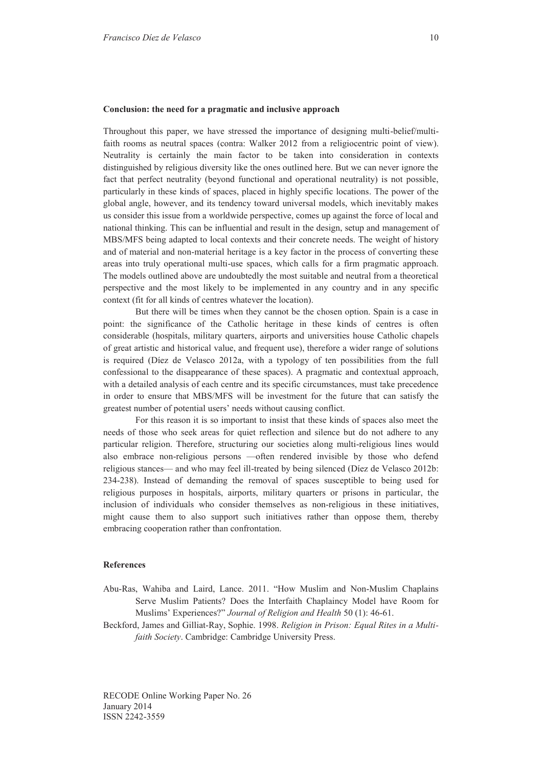#### **Conclusion: the need for a pragmatic and inclusive approach**

Throughout this paper, we have stressed the importance of designing multi-belief/multifaith rooms as neutral spaces (contra: Walker 2012 from a religiocentric point of view). Neutrality is certainly the main factor to be taken into consideration in contexts distinguished by religious diversity like the ones outlined here. But we can never ignore the fact that perfect neutrality (beyond functional and operational neutrality) is not possible, particularly in these kinds of spaces, placed in highly specific locations. The power of the global angle, however, and its tendency toward universal models, which inevitably makes us consider this issue from a worldwide perspective, comes up against the force of local and national thinking. This can be influential and result in the design, setup and management of MBS/MFS being adapted to local contexts and their concrete needs. The weight of history and of material and non-material heritage is a key factor in the process of converting these areas into truly operational multi-use spaces, which calls for a firm pragmatic approach. The models outlined above are undoubtedly the most suitable and neutral from a theoretical perspective and the most likely to be implemented in any country and in any specific context (fit for all kinds of centres whatever the location).

But there will be times when they cannot be the chosen option. Spain is a case in point: the significance of the Catholic heritage in these kinds of centres is often considerable (hospitals, military quarters, airports and universities house Catholic chapels of great artistic and historical value, and frequent use), therefore a wider range of solutions is required (Díez de Velasco 2012a, with a typology of ten possibilities from the full confessional to the disappearance of these spaces). A pragmatic and contextual approach, with a detailed analysis of each centre and its specific circumstances, must take precedence in order to ensure that MBS/MFS will be investment for the future that can satisfy the greatest number of potential users' needs without causing conflict.

For this reason it is so important to insist that these kinds of spaces also meet the needs of those who seek areas for quiet reflection and silence but do not adhere to any particular religion. Therefore, structuring our societies along multi-religious lines would also embrace non-religious persons —often rendered invisible by those who defend religious stances— and who may feel ill-treated by being silenced (Díez de Velasco 2012b: 234-238). Instead of demanding the removal of spaces susceptible to being used for religious purposes in hospitals, airports, military quarters or prisons in particular, the inclusion of individuals who consider themselves as non-religious in these initiatives, might cause them to also support such initiatives rather than oppose them, thereby embracing cooperation rather than confrontation.

## **References**

- Abu-Ras, Wahiba and Laird, Lance. 2011. "How Muslim and Non-Muslim Chaplains Serve Muslim Patients? Does the Interfaith Chaplaincy Model have Room for Muslims' Experiences?" *Journal of Religion and Health* 50 (1): 46-61.
- Beckford, James and Gilliat-Ray, Sophie. 1998. *Religion in Prison: Equal Rites in a Multifaith Society*. Cambridge: Cambridge University Press.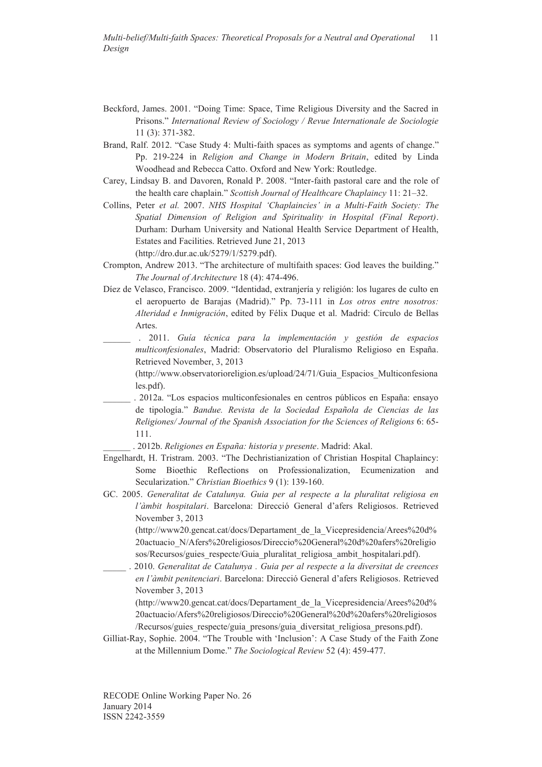- Beckford, James. 2001. "Doing Time: Space, Time Religious Diversity and the Sacred in Prisons." *International Review of Sociology / Revue Internationale de Sociologie*  11 (3): 371-382.
- Brand, Ralf. 2012. "Case Study 4: Multi-faith spaces as symptoms and agents of change." Pp. 219-224 in *Religion and Change in Modern Britain*, edited by Linda Woodhead and Rebecca Catto. Oxford and New York: Routledge.
- Carey, Lindsay B. and Davoren, Ronald P. 2008. "Inter-faith pastoral care and the role of the health care chaplain." *Scottish Journal of Healthcare Chaplaincy* 11: 21–32.
- Collins, Peter *et al.* 2007. *NHS Hospital 'Chaplaincies' in a Multi-Faith Society: The Spatial Dimension of Religion and Spirituality in Hospital (Final Report)*. Durham: Durham University and National Health Service Department of Health, Estates and Facilities. Retrieved June 21, 2013 (http://dro.dur.ac.uk/5279/1/5279.pdf).
- Crompton, Andrew 2013. "The architecture of multifaith spaces: God leaves the building." *The Journal of Architecture* 18 (4): 474-496.
- Díez de Velasco, Francisco. 2009. "Identidad, extranjería y religión: los lugares de culto en el aeropuerto de Barajas (Madrid)." Pp. 73-111 in *Los otros entre nosotros: Alteridad e Inmigración*, edited by Félix Duque et al. Madrid: Círculo de Bellas Artes.
	- \_\_\_\_\_\_ . 2011. *Guía técnica para la implementación y gestión de espacios multiconfesionales*, Madrid: Observatorio del Pluralismo Religioso en España. Retrieved November, 3, 2013
		- (http://www.observatorioreligion.es/upload/24/71/Guia\_Espacios\_Multiconfesiona les.pdf).
- \_\_\_\_\_\_ . 2012a. "Los espacios multiconfesionales en centros públicos en España: ensayo de tipología." *Bandue. Revista de la Sociedad Española de Ciencias de las Religiones/ Journal of the Spanish Association for the Sciences of Religions* 6: 65- 111.
	- \_\_\_\_\_\_ . 2012b. *Religiones en España: historia y presente*. Madrid: Akal.
- Engelhardt, H. Tristram. 2003. "The Dechristianization of Christian Hospital Chaplaincy: Some Bioethic Reflections on Professionalization, Ecumenization and Secularization." *Christian Bioethics* 9 (1): 139-160.
- GC. 2005. *Generalitat de Catalunya. Guia per al respecte a la pluralitat religiosa en l'àmbit hospitalari*. Barcelona: Direcció General d'afers Religiosos. Retrieved November 3, 2013

(http://www20.gencat.cat/docs/Departament\_de\_la\_Vicepresidencia/Arees%20d% 20actuacio\_N/Afers%20religiosos/Direccio%20General%20d%20afers%20religio sos/Recursos/guies\_respecte/Guia\_pluralitat\_religiosa\_ambit\_hospitalari.pdf).

\_\_\_\_\_ . 2010. *Generalitat de Catalunya . Guia per al respecte a la diversitat de creences en l'àmbit penitenciari*. Barcelona: Direcció General d'afers Religiosos. Retrieved November 3, 2013

 (http://www20.gencat.cat/docs/Departament\_de\_la\_Vicepresidencia/Arees%20d% 20actuacio/Afers%20religiosos/Direccio%20General%20d%20afers%20religiosos /Recursos/guies\_respecte/guia\_presons/guia\_diversitat\_religiosa\_presons.pdf).

Gilliat-Ray, Sophie. 2004. "The Trouble with 'Inclusion': A Case Study of the Faith Zone at the Millennium Dome." *The Sociological Review* 52 (4): 459-477.